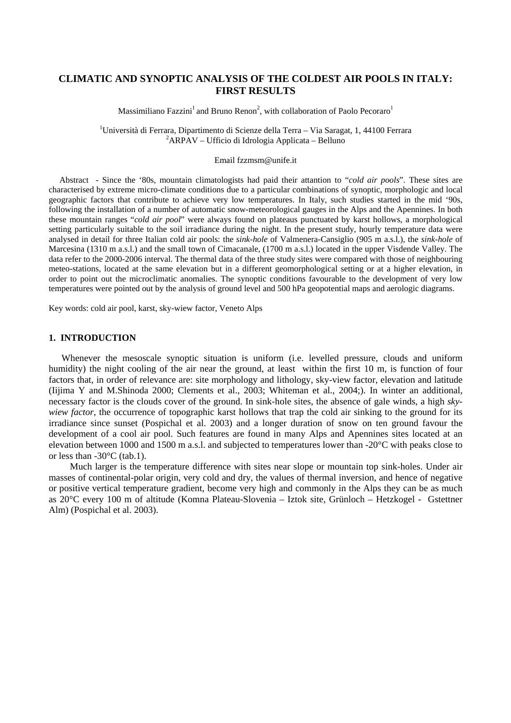# **CLIMATIC AND SYNOPTIC ANALYSIS OF THE COLDEST AIR POOLS IN ITALY: FIRST RESULTS**

Massimiliano Fazzini<sup>1</sup> and Bruno Renon<sup>2</sup>, with collaboration of Paolo Pecoraro<sup>1</sup>

<sup>1</sup>Università di Ferrara, Dipartimento di Scienze della Terra – Via Saragat, 1, 44100 Ferrara  ${}^{2}$ ARPAV – Ufficio di Idrologia Applicata – Belluno

#### Email fzzmsm@unife.it

 Abstract - Since the '80s, mountain climatologists had paid their attantion to "*cold air pools*". These sites are characterised by extreme micro-climate conditions due to a particular combinations of synoptic, morphologic and local geographic factors that contribute to achieve very low temperatures. In Italy, such studies started in the mid '90s, following the installation of a number of automatic snow-meteorological gauges in the Alps and the Apennines. In both these mountain ranges "*cold air pool*" were always found on plateaus punctuated by karst hollows, a morphological setting particularly suitable to the soil irradiance during the night. In the present study, hourly temperature data were analysed in detail for three Italian cold air pools: the *sink-hole* of Valmenera-Cansiglio (905 m a.s.l.), the *sink-hole* of Marcesina (1310 m a.s.l.) and the small town of Cimacanale, (1700 m a.s.l.) located in the upper Visdende Valley. The data refer to the 2000-2006 interval. The thermal data of the three study sites were compared with those of neighbouring meteo-stations, located at the same elevation but in a different geomorphological setting or at a higher elevation, in order to point out the microclimatic anomalies. The synoptic conditions favourable to the development of very low temperatures were pointed out by the analysis of ground level and 500 hPa geopotential maps and aerologic diagrams.

Key words: cold air pool, karst, sky-wiew factor, Veneto Alps

### **1. INTRODUCTION**

 Whenever the mesoscale synoptic situation is uniform (i.e. levelled pressure, clouds and uniform humidity) the night cooling of the air near the ground, at least within the first 10 m, is function of four factors that, in order of relevance are: site morphology and lithology, sky-view factor, elevation and latitude (Iijima Y and M.Shinoda 2000; Clements et al., 2003; Whiteman et al., 2004;). In winter an additional, necessary factor is the clouds cover of the ground. In sink-hole sites, the absence of gale winds, a high *skywiew factor*, the occurrence of topographic karst hollows that trap the cold air sinking to the ground for its irradiance since sunset (Pospichal et al. 2003) and a longer duration of snow on ten ground favour the development of a cool air pool. Such features are found in many Alps and Apennines sites located at an elevation between 1000 and 1500 m a.s.l. and subjected to temperatures lower than -20°C with peaks close to or less than -30°C (tab.1).

 Much larger is the temperature difference with sites near slope or mountain top sink-holes. Under air masses of continental-polar origin, very cold and dry, the values of thermal inversion, and hence of negative or positive vertical temperature gradient, become very high and commonly in the Alps they can be as much as 20°C every 100 m of altitude (Komna Plateau-Slovenia – Iztok site, Grünloch – Hetzkogel - Gstettner Alm) (Pospichal et al. 2003).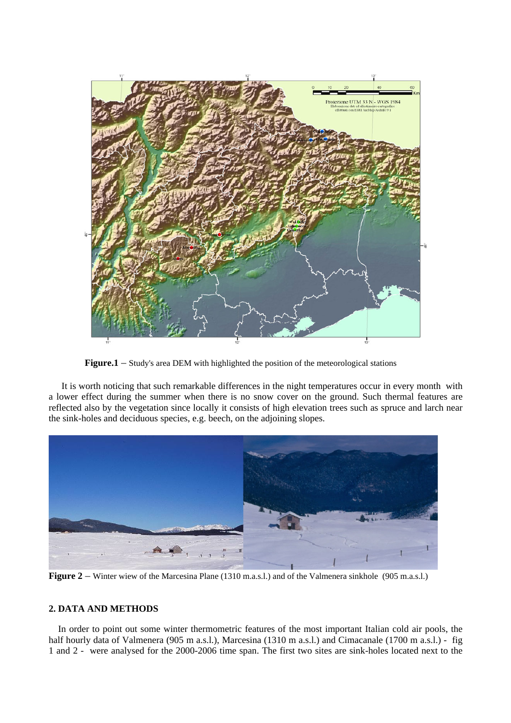

**Figure.1** – Study's area DEM with highlighted the position of the meteorological stations

 It is worth noticing that such remarkable differences in the night temperatures occur in every month with a lower effect during the summer when there is no snow cover on the ground. Such thermal features are reflected also by the vegetation since locally it consists of high elevation trees such as spruce and larch near the sink-holes and deciduous species, e.g. beech, on the adjoining slopes.



**Figure 2** – Winter wiew of the Marcesina Plane (1310 m.a.s.l.) and of the Valmenera sinkhole (905 m.a.s.l.)

## **2. DATA AND METHODS**

In order to point out some winter thermometric features of the most important Italian cold air pools, the half hourly data of Valmenera (905 m a.s.l.), Marcesina (1310 m a.s.l.) and Cimacanale (1700 m a.s.l.) - fig 1 and 2 - were analysed for the 2000-2006 time span. The first two sites are sink-holes located next to the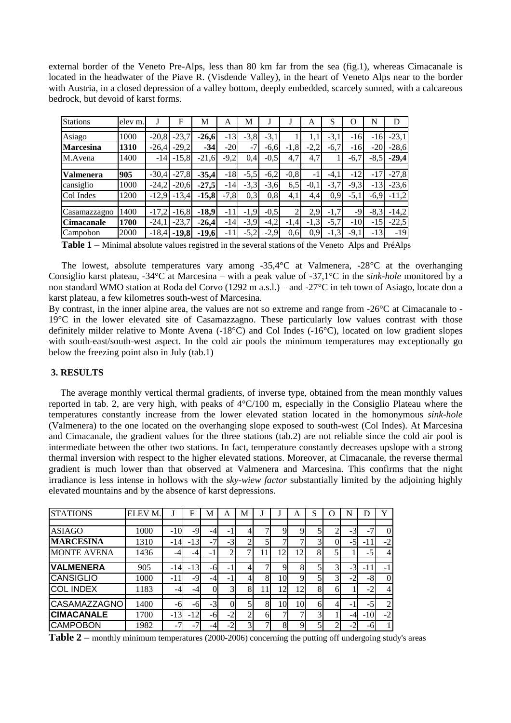external border of the Veneto Pre-Alps, less than 80 km far from the sea (fig.1), whereas Cimacanale is located in the headwater of the Piave R. (Visdende Valley), in the heart of Veneto Alps near to the border with Austria, in a closed depression of a valley bottom, deeply embedded, scarcely sunned, with a calcareous bedrock, but devoid of karst forms.

| <b>Stations</b>   | elev m. |          | F       | M       | A      | M      |        |        | A      | S      | $\left( \right)$ | N      | D       |
|-------------------|---------|----------|---------|---------|--------|--------|--------|--------|--------|--------|------------------|--------|---------|
| Asiago            | 1000    | $-20,8$  | $-23,7$ | $-26,6$ | $-13$  | $-3,8$ | $-3.1$ |        |        | $-3,1$ | $-16$            | $-16$  | $-23,1$ |
| <b>Marcesina</b>  | 1310    | $-26,4$  | $-29,2$ | $-34$   | $-20$  | $-7$   | $-6,6$ | $-1,8$ | $-2,2$ | $-6,7$ | $-16$            | $-20$  | $-28,6$ |
| M.Avena           | 1400    | $-14$    | $-15,8$ | $-21,6$ | $-9,2$ | 0.4    | $-0,5$ | 4,7    | 4,7    |        | $-6,7$           | $-8,5$ | $-29,4$ |
| Valmenera         | 905     | $-30.4$  | $-27.8$ | $-35,4$ | $-18$  | $-5,5$ | $-6,2$ | $-0,8$ | - 1    | $-4.1$ | $-12$            | $-17$  | $-27,8$ |
| cansiglio         | 1000    | $-24,2$  | $-20,6$ | $-27,5$ | $-14$  | $-3,3$ | $-3,6$ | 6,5    | $-0.1$ | $-3,7$ | $-9,3$           | $-13$  | $-23,6$ |
| Col Indes         | 1200    | $-12,9'$ | $-13,4$ | $-15,8$ | $-7,8$ | 0,3    | 0,8    | 4,1    | 4,4    | 0,9    | $-5,1$           | $-6,9$ | $-11,2$ |
| Casamazzagno      | 1400    | $-17,2$  | $-16.8$ | $-18.9$ | $-11$  | $-1,9$ | $-0,5$ | 2      | 2,9    | $-1,7$ | $-9'$            | $-8,3$ | $-14,2$ |
| <b>Cimacanale</b> | 1700    | $-24.1$  | $-23,7$ | $-26.4$ | $-14$  | $-3,9$ | $-4,2$ | $-1,4$ | $-1,3$ | $-5,7$ | $-10$            | $-15$  | $-22,5$ |
| Campobon          | 2000    | $-18.4$  | $-19,8$ | $-19,6$ | $-11$  | $-5,2$ | $-2,9$ | 0,6    | 0.9    | $-1,3$ | $-9,1$           | $-13$  | $-19$   |

**Table 1** – Minimal absolute values registred in the several stations of the Veneto Alps and PréAlps

 The lowest, absolute temperatures vary among -35,4°C at Valmenera, -28°C at the overhanging Consiglio karst plateau, -34°C at Marcesina – with a peak value of -37,1°C in the *sink-hole* monitored by a non standard WMO station at Roda del Corvo (1292 m a.s.l.) – and -27°C in teh town of Asiago, locate don a karst plateau, a few kilometres south-west of Marcesina.

By contrast, in the inner alpine area, the values are not so extreme and range from -26°C at Cimacanale to - 19°C in the lower elevated site of Casamazzagno. These particularly low values contrast with those definitely milder relative to Monte Avena (-18°C) and Col Indes (-16°C), located on low gradient slopes with south-east/south-west aspect. In the cold air pools the minimum temperatures may exceptionally go below the freezing point also in July (tab.1)

## **3. RESULTS**

 The average monthly vertical thermal gradients, of inverse type, obtained from the mean monthly values reported in tab. 2, are very high, with peaks of 4°C/100 m, especially in the Consiglio Plateau where the temperatures constantly increase from the lower elevated station located in the homonymous *sink-hole* (Valmenera) to the one located on the overhanging slope exposed to south-west (Col Indes). At Marcesina and Cimacanale, the gradient values for the three stations (tab.2) are not reliable since the cold air pool is intermediate between the other two stations. In fact, temperature constantly decreases upslope with a strong thermal inversion with respect to the higher elevated stations. Moreover, at Cimacanale, the reverse thermal gradient is much lower than that observed at Valmenera and Marcesina. This confirms that the night irradiance is less intense in hollows with the *sky-wiew factor* substantially limited by the adjoining highly elevated mountains and by the absence of karst depressions.

| <b>STATIONS</b>     | ELEV M. |       | F     | M                        | А              | M              |              |    | A  | S |                | N       | D      | Y              |
|---------------------|---------|-------|-------|--------------------------|----------------|----------------|--------------|----|----|---|----------------|---------|--------|----------------|
|                     |         |       |       |                          |                |                |              |    |    |   |                |         |        |                |
| <b>ASIAGO</b>       | 1000    | $-10$ | $-9$  |                          | -              |                |              |    |    |   |                |         | $\sim$ |                |
| <b>MARCESINA</b>    | 1310    | $-14$ | $-13$ | $\overline{\phantom{0}}$ | $-3$           | ↑              |              |    |    | 3 | $\Omega$       | $-5$    | -11    | $-2$           |
| <b>MONTE AVENA</b>  | 1436    | -4    | -4    |                          | ↑              |                |              | 12 | 12 | 8 | 5              |         | $-5$   |                |
|                     |         |       |       |                          |                |                |              |    |    |   |                |         |        |                |
| <b>VALMENERA</b>    | 905     | $-14$ | $-13$ | -6                       |                |                |              |    | 8  |   | $\overline{3}$ | $-3$    | -11    |                |
| <b>CANSIGLIO</b>    | 1000    | -11   | -9    |                          | -              |                | 8            | 10 | Q  | 5 | $\overline{3}$ | $-2$    | $-8$   | $\Omega$       |
| <b>COL INDEX</b>    | 1183    | $-4$  | -4    |                          | $\overline{3}$ | 8              |              | 12 | 12 | 8 | 61             |         | $-2$   |                |
|                     |         |       |       |                          |                |                |              |    |    |   |                |         |        |                |
| <b>CASAMAZZAGNO</b> | 1400    | -6    | -61   | $-3$                     | Ol             |                | 8            | 10 | 10 | 6 | 4              | -       | $-5$   | $\overline{2}$ |
| <b>CIMACANALE</b>   | 1700    | $-13$ | $-12$ | -6                       | $-2$           |                | <sub>0</sub> |    |    | 3 |                | $-4$    | $-10$  | $-2$           |
| <b>CAMPOBON</b>     | 1982    | $-7$  | -     |                          |                | $\overline{3}$ |              | 8  | Ω  | 5 | ∍              | ◠<br>Ξ. | -6     |                |

Table 2 – monthly minimum temperatures (2000-2006) concerning the putting off undergoing study's areas